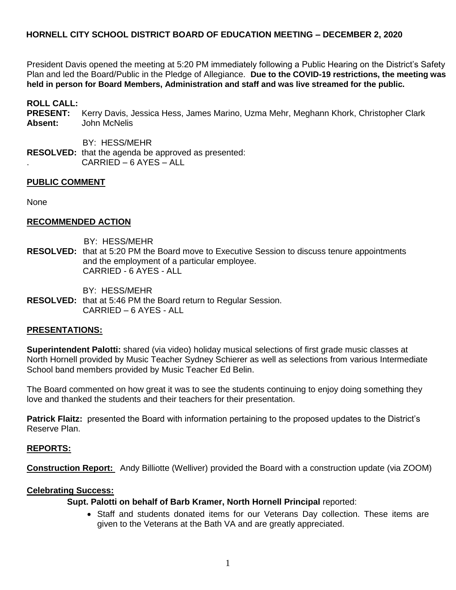President Davis opened the meeting at 5:20 PM immediately following a Public Hearing on the District's Safety Plan and led the Board/Public in the Pledge of Allegiance. **Due to the COVID-19 restrictions, the meeting was held in person for Board Members, Administration and staff and was live streamed for the public.**

**ROLL CALL:** 

**PRESENT:** Kerry Davis, Jessica Hess, James Marino, Uzma Mehr, Meghann Khork, Christopher Clark **Absent:** John McNelis

 BY: HESS/MEHR **RESOLVED:** that the agenda be approved as presented: . CARRIED – 6 AYES – ALL

#### **PUBLIC COMMENT**

None

#### **RECOMMENDED ACTION**

BY: HESS/MEHR

**RESOLVED:** that at 5:20 PM the Board move to Executive Session to discuss tenure appointments and the employment of a particular employee. CARRIED - 6 AYES - ALL

BY: HESS/MEHR

**RESOLVED:** that at 5:46 PM the Board return to Regular Session. CARRIED – 6 AYES - ALL

#### **PRESENTATIONS:**

**Superintendent Palotti:** shared (via video) holiday musical selections of first grade music classes at North Hornell provided by Music Teacher Sydney Schierer as well as selections from various Intermediate School band members provided by Music Teacher Ed Belin.

The Board commented on how great it was to see the students continuing to enjoy doing something they love and thanked the students and their teachers for their presentation.

**Patrick Flaitz:** presented the Board with information pertaining to the proposed updates to the District's Reserve Plan.

#### **REPORTS:**

**Construction Report:** Andy Billiotte (Welliver) provided the Board with a construction update (via ZOOM)

#### **Celebrating Success:**

#### **Supt. Palotti on behalf of Barb Kramer, North Hornell Principal** reported:

• Staff and students donated items for our Veterans Day collection. These items are given to the Veterans at the Bath VA and are greatly appreciated.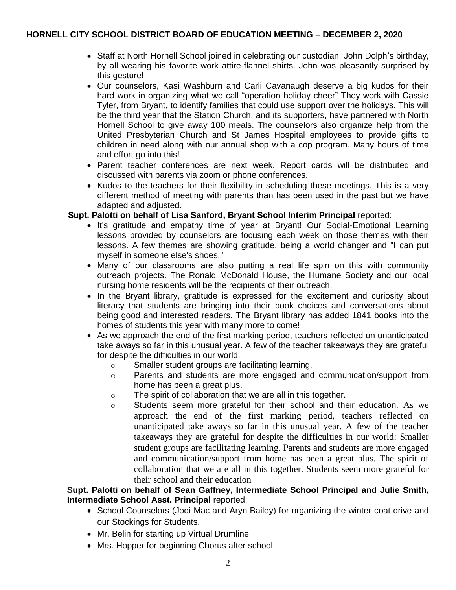- Staff at North Hornell School joined in celebrating our custodian, John Dolph's birthday, by all wearing his favorite work attire-flannel shirts. John was pleasantly surprised by this gesture!
- Our counselors, Kasi Washburn and Carli Cavanaugh deserve a big kudos for their hard work in organizing what we call "operation holiday cheer" They work with Cassie Tyler, from Bryant, to identify families that could use support over the holidays. This will be the third year that the Station Church, and its supporters, have partnered with North Hornell School to give away 100 meals. The counselors also organize help from the United Presbyterian Church and St James Hospital employees to provide gifts to children in need along with our annual shop with a cop program. Many hours of time and effort go into this!
- Parent teacher conferences are next week. Report cards will be distributed and discussed with parents via zoom or phone conferences.
- Kudos to the teachers for their flexibility in scheduling these meetings. This is a very different method of meeting with parents than has been used in the past but we have adapted and adjusted.

## **Supt. Palotti on behalf of Lisa Sanford, Bryant School Interim Principal** reported:

- It's gratitude and empathy time of year at Bryant! Our Social-Emotional Learning lessons provided by counselors are focusing each week on those themes with their lessons. A few themes are showing gratitude, being a world changer and "I can put myself in someone else's shoes."
- Many of our classrooms are also putting a real life spin on this with community outreach projects. The Ronald McDonald House, the Humane Society and our local nursing home residents will be the recipients of their outreach.
- In the Bryant library, gratitude is expressed for the excitement and curiosity about literacy that students are bringing into their book choices and conversations about being good and interested readers. The Bryant library has added 1841 books into the homes of students this year with many more to come!
- As we approach the end of the first marking period, teachers reflected on unanticipated take aways so far in this unusual year. A few of the teacher takeaways they are grateful for despite the difficulties in our world:
	- o Smaller student groups are facilitating learning.
	- o Parents and students are more engaged and communication/support from home has been a great plus.
	- o The spirit of collaboration that we are all in this together.
	- o Students seem more grateful for their school and their education. As we approach the end of the first marking period, teachers reflected on unanticipated take aways so far in this unusual year. A few of the teacher takeaways they are grateful for despite the difficulties in our world: Smaller student groups are facilitating learning. Parents and students are more engaged and communication/support from home has been a great plus. The spirit of collaboration that we are all in this together. Students seem more grateful for their school and their education

## **Supt. Palotti on behalf of Sean Gaffney, Intermediate School Principal and Julie Smith, Intermediate School Asst. Principal** reported:

- School Counselors (Jodi Mac and Aryn Bailey) for organizing the winter coat drive and our Stockings for Students.
- Mr. Belin for starting up Virtual Drumline
- Mrs. Hopper for beginning Chorus after school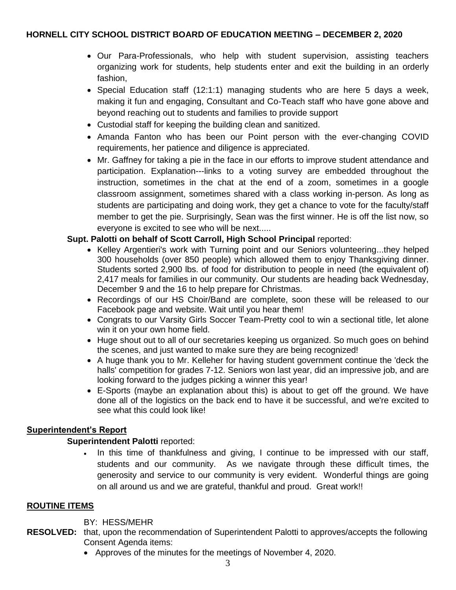- Our Para-Professionals, who help with student supervision, assisting teachers organizing work for students, help students enter and exit the building in an orderly fashion,
- Special Education staff  $(12:1:1)$  managing students who are here 5 days a week, making it fun and engaging, Consultant and Co-Teach staff who have gone above and beyond reaching out to students and families to provide support
- Custodial staff for keeping the building clean and sanitized.
- Amanda Fanton who has been our Point person with the ever-changing COVID requirements, her patience and diligence is appreciated.
- Mr. Gaffney for taking a pie in the face in our efforts to improve student attendance and participation. Explanation---links to a voting survey are embedded throughout the instruction, sometimes in the chat at the end of a zoom, sometimes in a google classroom assignment, sometimes shared with a class working in-person. As long as students are participating and doing work, they get a chance to vote for the faculty/staff member to get the pie. Surprisingly, Sean was the first winner. He is off the list now, so everyone is excited to see who will be next.....

# **Supt. Palotti on behalf of Scott Carroll, High School Principal** reported:

- Kelley Argentieri's work with Turning point and our Seniors volunteering...they helped 300 households (over 850 people) which allowed them to enjoy Thanksgiving dinner. Students sorted 2,900 lbs. of food for distribution to people in need (the equivalent of) 2,417 meals for families in our community. Our students are heading back Wednesday, December 9 and the 16 to help prepare for Christmas.
- Recordings of our HS Choir/Band are complete, soon these will be released to our Facebook page and website. Wait until you hear them!
- Congrats to our Varsity Girls Soccer Team-Pretty cool to win a sectional title, let alone win it on your own home field.
- Huge shout out to all of our secretaries keeping us organized. So much goes on behind the scenes, and just wanted to make sure they are being recognized!
- A huge thank you to Mr. Kelleher for having student government continue the 'deck the halls' competition for grades 7-12. Seniors won last year, did an impressive job, and are looking forward to the judges picking a winner this year!
- E-Sports (maybe an explanation about this) is about to get off the ground. We have done all of the logistics on the back end to have it be successful, and we're excited to see what this could look like!

# **Superintendent's Report**

## **Superintendent Palotti** reported:

• In this time of thankfulness and giving, I continue to be impressed with our staff, students and our community. As we navigate through these difficult times, the generosity and service to our community is very evident. Wonderful things are going on all around us and we are grateful, thankful and proud. Great work!!

## **ROUTINE ITEMS**

## BY: HESS/MEHR

- **RESOLVED:** that, upon the recommendation of Superintendent Palotti to approves/accepts the following Consent Agenda items:
	- Approves of the minutes for the meetings of November 4, 2020.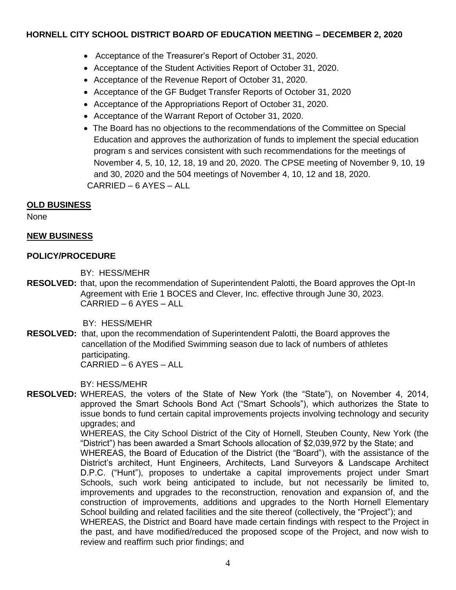- Acceptance of the Treasurer's Report of October 31, 2020.
- Acceptance of the Student Activities Report of October 31, 2020.
- Acceptance of the Revenue Report of October 31, 2020.
- Acceptance of the GF Budget Transfer Reports of October 31, 2020
- Acceptance of the Appropriations Report of October 31, 2020.
- Acceptance of the Warrant Report of October 31, 2020.
- The Board has no objections to the recommendations of the Committee on Special Education and approves the authorization of funds to implement the special education program s and services consistent with such recommendations for the meetings of November 4, 5, 10, 12, 18, 19 and 20, 2020. The CPSE meeting of November 9, 10, 19 and 30, 2020 and the 504 meetings of November 4, 10, 12 and 18, 2020. CARRIED – 6 AYES – ALL

## **OLD BUSINESS**

None

## **NEW BUSINESS**

#### **POLICY/PROCEDURE**

BY: HESS/MEHR

**RESOLVED:** that, upon the recommendation of Superintendent Palotti, the Board approves the Opt-In Agreement with Erie 1 BOCES and Clever, Inc. effective through June 30, 2023. CARRIED – 6 AYES – ALL

BY: HESS/MEHR

**RESOLVED:** that, upon the recommendation of Superintendent Palotti, the Board approves the cancellation of the Modified Swimming season due to lack of numbers of athletes participating. CARRIED – 6 AYES – ALL

BY: HESS/MEHR

**RESOLVED:** WHEREAS, the voters of the State of New York (the "State"), on November 4, 2014, approved the Smart Schools Bond Act ("Smart Schools"), which authorizes the State to issue bonds to fund certain capital improvements projects involving technology and security upgrades; and

WHEREAS, the City School District of the City of Hornell, Steuben County, New York (the "District") has been awarded a Smart Schools allocation of \$2,039,972 by the State; and WHEREAS, the Board of Education of the District (the "Board"), with the assistance of the District's architect, Hunt Engineers, Architects, Land Surveyors & Landscape Architect D.P.C. ("Hunt"), proposes to undertake a capital improvements project under Smart Schools, such work being anticipated to include, but not necessarily be limited to, improvements and upgrades to the reconstruction, renovation and expansion of, and the construction of improvements, additions and upgrades to the North Hornell Elementary School building and related facilities and the site thereof (collectively, the "Project"); and WHEREAS, the District and Board have made certain findings with respect to the Project in the past, and have modified/reduced the proposed scope of the Project, and now wish to review and reaffirm such prior findings; and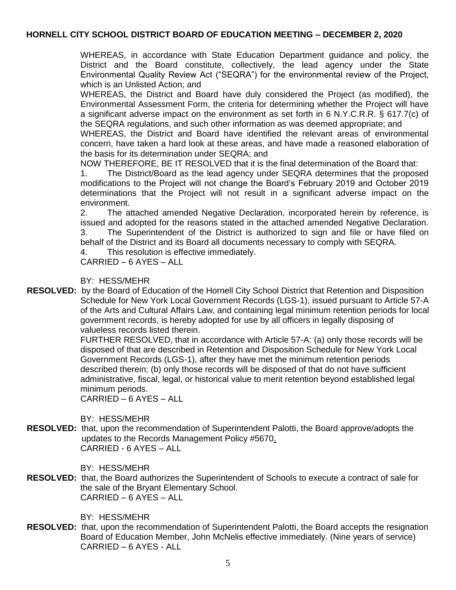WHEREAS, in accordance with State Education Department guidance and policy, the District and the Board constitute, collectively, the lead agency under the State Environmental Quality Review Act ("SEQRA") for the environmental review of the Project, which is an Unlisted Action; and

WHEREAS, the District and Board have duly considered the Project (as modified), the Environmental Assessment Form, the criteria for determining whether the Project will have a significant adverse impact on the environment as set forth in 6 N.Y.C.R.R. § 617.7(c) of the SEQRA regulations, and such other information as was deemed appropriate; and

WHEREAS, the District and Board have identified the relevant areas of environmental concern, have taken a hard look at these areas, and have made a reasoned elaboration of the basis for its determination under SEQRA; and

NOW THEREFORE, BE IT RESOLVED that it is the final determination of the Board that:

1. The District/Board as the lead agency under SEQRA determines that the proposed modifications to the Project will not change the Board's February 2019 and October 2019 determinations that the Project will not result in a significant adverse impact on the environment.

2. The attached amended Negative Declaration, incorporated herein by reference, is issued and adopted for the reasons stated in the attached amended Negative Declaration. 3. The Superintendent of the District is authorized to sign and file or have filed on behalf of the District and its Board all documents necessary to comply with SEQRA.

4. This resolution is effective immediately.

CARRIED – 6 AYES – ALL

BY: HESS/MEHR

**RESOLVED:** by the Board of Education of the Hornell City School District that Retention and Disposition Schedule for New York Local Government Records (LGS-1), issued pursuant to Article 57-A of the Arts and Cultural Affairs Law, and containing legal minimum retention periods for local government records, is hereby adopted for use by all officers in legally disposing of valueless records listed therein.

> FURTHER RESOLVED, that in accordance with Article 57-A: (a) only those records will be disposed of that are described in Retention and Disposition Schedule for New York Local Government Records (LGS-1), after they have met the minimum retention periods described therein; (b) only those records will be disposed of that do not have sufficient administrative, fiscal, legal, or historical value to merit retention beyond established legal minimum periods.

CARRIED – 6 AYES – ALL

BY: HESS/MEHR

**RESOLVED:** that, upon the recommendation of Superintendent Palotti, the Board approve/adopts the updates to the Records Management Policy #5670. CARRIED - 6 AYES – ALL

BY: HESS/MEHR

**RESOLVED:** that, the Board authorizes the Superintendent of Schools to execute a contract of sale for the sale of the Bryant Elementary School. CARRIED – 6 AYES – ALL

BY: HESS/MEHR

**RESOLVED:** that, upon the recommendation of Superintendent Palotti, the Board accepts the resignation Board of Education Member, John McNelis effective immediately. (Nine years of service) CARRIED – 6 AYES - ALL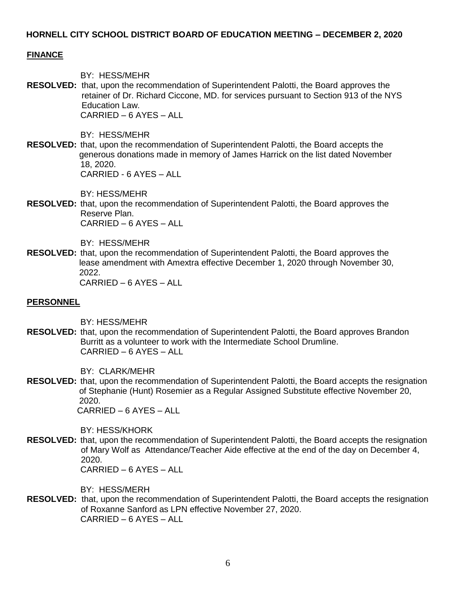#### **FINANCE**

BY: HESS/MEHR

**RESOLVED:** that, upon the recommendation of Superintendent Palotti, the Board approves the retainer of Dr. Richard Ciccone, MD. for services pursuant to Section 913 of the NYS Education Law. CARRIED – 6 AYES – ALL

BY: HESS/MEHR

**RESOLVED:** that, upon the recommendation of Superintendent Palotti, the Board accepts the generous donations made in memory of James Harrick on the list dated November 18, 2020. CARRIED - 6 AYES – ALL

BY: HESS/MEHR

**RESOLVED:** that, upon the recommendation of Superintendent Palotti, the Board approves the Reserve Plan. CARRIED – 6 AYES – ALL

BY: HESS/MEHR

**RESOLVED:** that, upon the recommendation of Superintendent Palotti, the Board approves the lease amendment with Amextra effective December 1, 2020 through November 30, 2022.

CARRIED – 6 AYES – ALL

#### **PERSONNEL**

BY: HESS/MEHR

**RESOLVED:** that, upon the recommendation of Superintendent Palotti, the Board approves Brandon Burritt as a volunteer to work with the Intermediate School Drumline. CARRIED – 6 AYES – ALL

BY: CLARK/MEHR

**RESOLVED:** that, upon the recommendation of Superintendent Palotti, the Board accepts the resignation of Stephanie (Hunt) Rosemier as a Regular Assigned Substitute effective November 20, 2020.

CARRIED – 6 AYES – ALL

BY: HESS/KHORK

**RESOLVED:** that, upon the recommendation of Superintendent Palotti, the Board accepts the resignation of Mary Wolf as Attendance/Teacher Aide effective at the end of the day on December 4, 2020.

CARRIED – 6 AYES – ALL

BY: HESS/MERH

**RESOLVED:** that, upon the recommendation of Superintendent Palotti, the Board accepts the resignation of Roxanne Sanford as LPN effective November 27, 2020. CARRIED – 6 AYES – ALL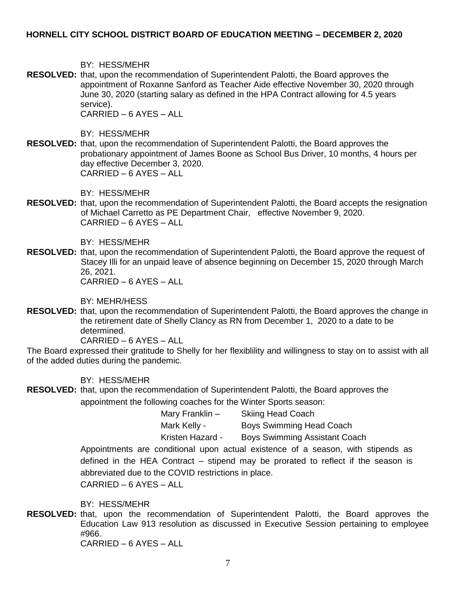BY: HESS/MEHR

**RESOLVED:** that, upon the recommendation of Superintendent Palotti, the Board approves the appointment of Roxanne Sanford as Teacher Aide effective November 30, 2020 through June 30, 2020 (starting salary as defined in the HPA Contract allowing for 4.5 years service).

CARRIED – 6 AYES – ALL

BY: HESS/MEHR

**RESOLVED:** that, upon the recommendation of Superintendent Palotti, the Board approves the probationary appointment of James Boone as School Bus Driver, 10 months, 4 hours per day effective December 3, 2020. CARRIED – 6 AYES – ALL

BY: HESS/MEHR

**RESOLVED:** that, upon the recommendation of Superintendent Palotti, the Board accepts the resignation of Michael Carretto as PE Department Chair, effective November 9, 2020. CARRIED – 6 AYES – ALL

BY: HESS/MEHR

**RESOLVED:** that, upon the recommendation of Superintendent Palotti, the Board approve the request of Stacey Illi for an unpaid leave of absence beginning on December 15, 2020 through March 26, 2021.

CARRIED – 6 AYES – ALL

BY: MEHR/HESS

**RESOLVED:** that, upon the recommendation of Superintendent Palotti, the Board approves the change in the retirement date of Shelly Clancy as RN from December 1, 2020 to a date to be determined.

CARRIED – 6 AYES – ALL

The Board expressed their gratitude to Shelly for her flexiblility and willingness to stay on to assist with all of the added duties during the pandemic.

BY: HESS/MEHR

**RESOLVED:** that, upon the recommendation of Superintendent Palotti, the Board approves the appointment the following coaches for the Winter Sports season:

> Mary Franklin – Skiing Head Coach Mark Kelly - Boys Swimming Head Coach Kristen Hazard - Boys Swimming Assistant Coach

Appointments are conditional upon actual existence of a season, with stipends as defined in the HEA Contract – stipend may be prorated to reflect if the season is abbreviated due to the COVID restrictions in place.

CARRIED – 6 AYES – ALL

BY: HESS/MEHR

**RESOLVED:** that, upon the recommendation of Superintendent Palotti, the Board approves the Education Law 913 resolution as discussed in Executive Session pertaining to employee #966.

CARRIED – 6 AYES – ALL